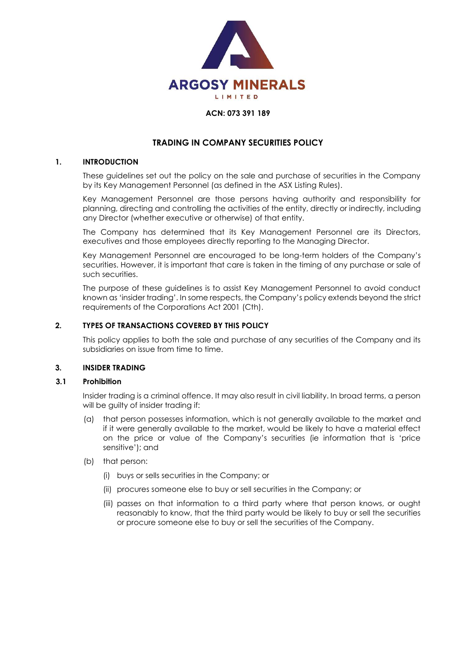

## **ACN: 073 391 189**

# **TRADING IN COMPANY SECURITIES POLICY**

## **1. INTRODUCTION**

These guidelines set out the policy on the sale and purchase of securities in the Company by its Key Management Personnel (as defined in the ASX Listing Rules).

Key Management Personnel are those persons having authority and responsibility for planning, directing and controlling the activities of the entity, directly or indirectly, including any Director (whether executive or otherwise) of that entity.

The Company has determined that its Key Management Personnel are its Directors, executives and those employees directly reporting to the Managing Director.

Key Management Personnel are encouraged to be long-term holders of the Company's securities. However, it is important that care is taken in the timing of any purchase or sale of such securities.

The purpose of these guidelines is to assist Key Management Personnel to avoid conduct known as 'insider trading'. In some respects, the Company's policy extends beyond the strict requirements of the Corporations Act 2001 (Cth).

# **2. TYPES OF TRANSACTIONS COVERED BY THIS POLICY**

This policy applies to both the sale and purchase of any securities of the Company and its subsidiaries on issue from time to time.

# **3. INSIDER TRADING**

## **3.1 Prohibition**

Insider trading is a criminal offence. It may also result in civil liability. In broad terms, a person will be guilty of insider trading if:

- (a) that person possesses information, which is not generally available to the market and if it were generally available to the market, would be likely to have a material effect on the price or value of the Company's securities (ie information that is 'price sensitive'); and
- (b) that person:
	- (i) buys or sells securities in the Company; or
	- (ii) procures someone else to buy or sell securities in the Company; or
	- (iii) passes on that information to a third party where that person knows, or ought reasonably to know, that the third party would be likely to buy or sell the securities or procure someone else to buy or sell the securities of the Company.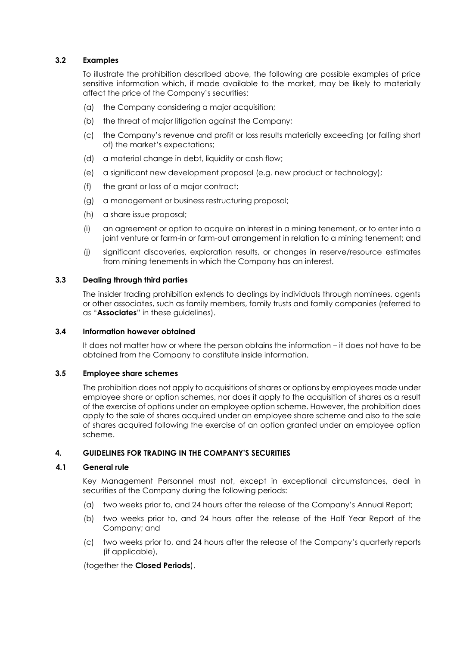## **3.2 Examples**

To illustrate the prohibition described above, the following are possible examples of price sensitive information which, if made available to the market, may be likely to materially affect the price of the Company's securities:

- (a) the Company considering a major acquisition;
- (b) the threat of major litigation against the Company;
- (c) the Company's revenue and profit or loss results materially exceeding (or falling short of) the market's expectations;
- (d) a material change in debt, liquidity or cash flow;
- (e) a significant new development proposal (e.g. new product or technology);
- (f) the grant or loss of a major contract;
- (g) a management or business restructuring proposal;
- (h) a share issue proposal;
- (i) an agreement or option to acquire an interest in a mining tenement, or to enter into a joint venture or farm-in or farm-out arrangement in relation to a mining tenement; and
- (j) significant discoveries, exploration results, or changes in reserve/resource estimates from mining tenements in which the Company has an interest.

## **3.3 Dealing through third parties**

The insider trading prohibition extends to dealings by individuals through nominees, agents or other associates, such as family members, family trusts and family companies (referred to as "**Associates**" in these guidelines).

## **3.4 Information however obtained**

It does not matter how or where the person obtains the information – it does not have to be obtained from the Company to constitute inside information.

## **3.5 Employee share schemes**

The prohibition does not apply to acquisitions of shares or options by employees made under employee share or option schemes, nor does it apply to the acquisition of shares as a result of the exercise of options under an employee option scheme. However, the prohibition does apply to the sale of shares acquired under an employee share scheme and also to the sale of shares acquired following the exercise of an option granted under an employee option scheme.

## **4. GUIDELINES FOR TRADING IN THE COMPANY'S SECURITIES**

## **4.1 General rule**

Key Management Personnel must not, except in exceptional circumstances, deal in securities of the Company during the following periods:

- (a) two weeks prior to, and 24 hours after the release of the Company's Annual Report;
- (b) two weeks prior to, and 24 hours after the release of the Half Year Report of the Company; and
- (c) two weeks prior to, and 24 hours after the release of the Company's quarterly reports (if applicable),

(together the **Closed Periods**).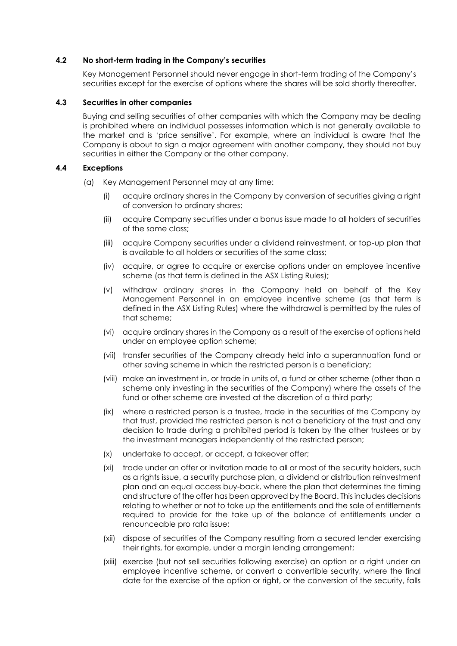## **4.2 No short-term trading in the Company's securities**

Key Management Personnel should never engage in short-term trading of the Company's securities except for the exercise of options where the shares will be sold shortly thereafter.

#### **4.3 Securities in other companies**

Buying and selling securities of other companies with which the Company may be dealing is prohibited where an individual possesses information which is not generally available to the market and is 'price sensitive'. For example, where an individual is aware that the Company is about to sign a major agreement with another company, they should not buy securities in either the Company or the other company.

#### **4.4 Exceptions**

- (a) Key Management Personnel may at any time:
	- (i) acquire ordinary shares in the Company by conversion of securities giving a right of conversion to ordinary shares;
	- (ii) acquire Company securities under a bonus issue made to all holders of securities of the same class;
	- (iii) acquire Company securities under a dividend reinvestment, or top-up plan that is available to all holders or securities of the same class;
	- (iv) acquire, or agree to acquire or exercise options under an employee incentive scheme (as that term is defined in the ASX Listing Rules);
	- (v) withdraw ordinary shares in the Company held on behalf of the Key Management Personnel in an employee incentive scheme (as that term is defined in the ASX Listing Rules) where the withdrawal is permitted by the rules of that scheme;
	- (vi) acquire ordinary shares in the Company as a result of the exercise of options held under an employee option scheme;
	- (vii) transfer securities of the Company already held into a superannuation fund or other saving scheme in which the restricted person is a beneficiary;
	- (viii) make an investment in, or trade in units of, a fund or other scheme (other than a scheme only investing in the securities of the Company) where the assets of the fund or other scheme are invested at the discretion of a third party;
	- (ix) where a restricted person is a trustee, trade in the securities of the Company by that trust, provided the restricted person is not a beneficiary of the trust and any decision to trade during a prohibited period is taken by the other trustees or by the investment managers independently of the restricted person;
	- (x) undertake to accept, or accept, a takeover offer;
	- (xi) trade under an offer or invitation made to all or most of the security holders, such as a rights issue, a security purchase plan, a dividend or distribution reinvestment plan and an equal access buy-back, where the plan that determines the timing and structure of the offer has been approved by the Board. This includes decisions relating to whether or not to take up the entitlements and the sale of entitlements required to provide for the take up of the balance of entitlements under a renounceable pro rata issue;
	- (xii) dispose of securities of the Company resulting from a secured lender exercising their rights, for example, under a margin lending arrangement;
	- (xiii) exercise (but not sell securities following exercise) an option or a right under an employee incentive scheme, or convert a convertible security, where the final date for the exercise of the option or right, or the conversion of the security, falls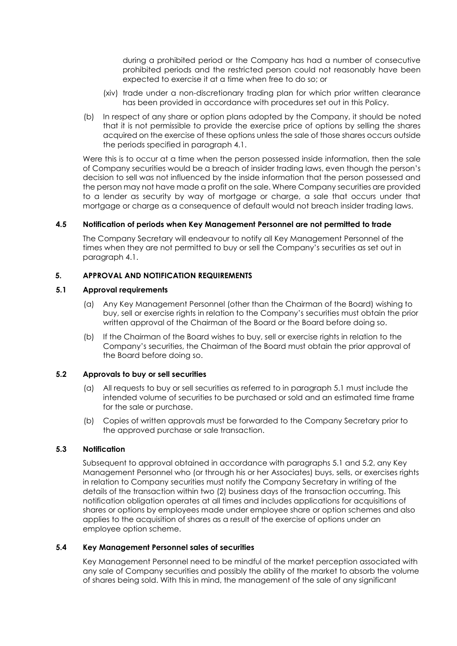during a prohibited period or the Company has had a number of consecutive prohibited periods and the restricted person could not reasonably have been expected to exercise it at a time when free to do so; or

- (xiv) trade under a non-discretionary trading plan for which prior written clearance has been provided in accordance with procedures set out in this Policy.
- (b) In respect of any share or option plans adopted by the Company, it should be noted that it is not permissible to provide the exercise price of options by selling the shares acquired on the exercise of these options unless the sale of those shares occurs outside the periods specified in paragraph 4.1.

Were this is to occur at a time when the person possessed inside information, then the sale of Company securities would be a breach of insider trading laws, even though the person's decision to sell was not influenced by the inside information that the person possessed and the person may not have made a profit on the sale. Where Company securities are provided to a lender as security by way of mortgage or charge, a sale that occurs under that mortgage or charge as a consequence of default would not breach insider trading laws.

## **4.5 Notification of periods when Key Management Personnel are not permitted to trade**

The Company Secretary will endeavour to notify all Key Management Personnel of the times when they are not permitted to buy or sell the Company's securities as set out in paragraph 4.1.

#### **5. APPROVAL AND NOTIFICATION REQUIREMENTS**

#### **5.1 Approval requirements**

- (a) Any Key Management Personnel (other than the Chairman of the Board) wishing to buy, sell or exercise rights in relation to the Company's securities must obtain the prior written approval of the Chairman of the Board or the Board before doing so.
- (b) If the Chairman of the Board wishes to buy, sell or exercise rights in relation to the Company's securities, the Chairman of the Board must obtain the prior approval of the Board before doing so.

## **5.2 Approvals to buy or sell securities**

- (a) All requests to buy or sell securities as referred to in paragraph 5.1 must include the intended volume of securities to be purchased or sold and an estimated time frame for the sale or purchase.
- (b) Copies of written approvals must be forwarded to the Company Secretary prior to the approved purchase or sale transaction.

## **5.3 Notification**

Subsequent to approval obtained in accordance with paragraphs 5.1 and 5.2, any Key Management Personnel who (or through his or her Associates) buys, sells, or exercises rights in relation to Company securities must notify the Company Secretary in writing of the details of the transaction within two (2) business days of the transaction occurring. This notification obligation operates at all times and includes applications for acquisitions of shares or options by employees made under employee share or option schemes and also applies to the acquisition of shares as a result of the exercise of options under an employee option scheme.

#### **5.4 Key Management Personnel sales of securities**

Key Management Personnel need to be mindful of the market perception associated with any sale of Company securities and possibly the ability of the market to absorb the volume of shares being sold. With this in mind, the management of the sale of any significant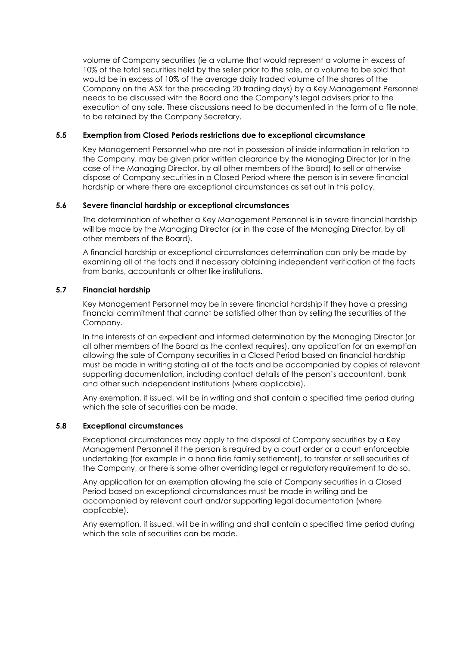volume of Company securities (ie a volume that would represent a volume in excess of 10% of the total securities held by the seller prior to the sale, or a volume to be sold that would be in excess of 10% of the average daily traded volume of the shares of the Company on the ASX for the preceding 20 trading days) by a Key Management Personnel needs to be discussed with the Board and the Company's legal advisers prior to the execution of any sale. These discussions need to be documented in the form of a file note, to be retained by the Company Secretary.

### **5.5 Exemption from Closed Periods restrictions due to exceptional circumstance**

Key Management Personnel who are not in possession of inside information in relation to the Company, may be given prior written clearance by the Managing Director (or in the case of the Managing Director, by all other members of the Board) to sell or otherwise dispose of Company securities in a Closed Period where the person is in severe financial hardship or where there are exceptional circumstances as set out in this policy.

### **5.6 Severe financial hardship or exceptional circumstances**

The determination of whether a Key Management Personnel is in severe financial hardship will be made by the Managing Director (or in the case of the Managing Director, by all other members of the Board).

A financial hardship or exceptional circumstances determination can only be made by examining all of the facts and if necessary obtaining independent verification of the facts from banks, accountants or other like institutions.

## **5.7 Financial hardship**

Key Management Personnel may be in severe financial hardship if they have a pressing financial commitment that cannot be satisfied other than by selling the securities of the Company.

In the interests of an expedient and informed determination by the Managing Director (or all other members of the Board as the context requires), any application for an exemption allowing the sale of Company securities in a Closed Period based on financial hardship must be made in writing stating all of the facts and be accompanied by copies of relevant supporting documentation, including contact details of the person's accountant, bank and other such independent institutions (where applicable).

Any exemption, if issued, will be in writing and shall contain a specified time period during which the sale of securities can be made.

## **5.8 Exceptional circumstances**

Exceptional circumstances may apply to the disposal of Company securities by a Key Management Personnel if the person is required by a court order or a court enforceable undertaking (for example in a bona fide family settlement), to transfer or sell securities of the Company, or there is some other overriding legal or regulatory requirement to do so.

Any application for an exemption allowing the sale of Company securities in a Closed Period based on exceptional circumstances must be made in writing and be accompanied by relevant court and/or supporting legal documentation (where applicable).

Any exemption, if issued, will be in writing and shall contain a specified time period during which the sale of securities can be made.